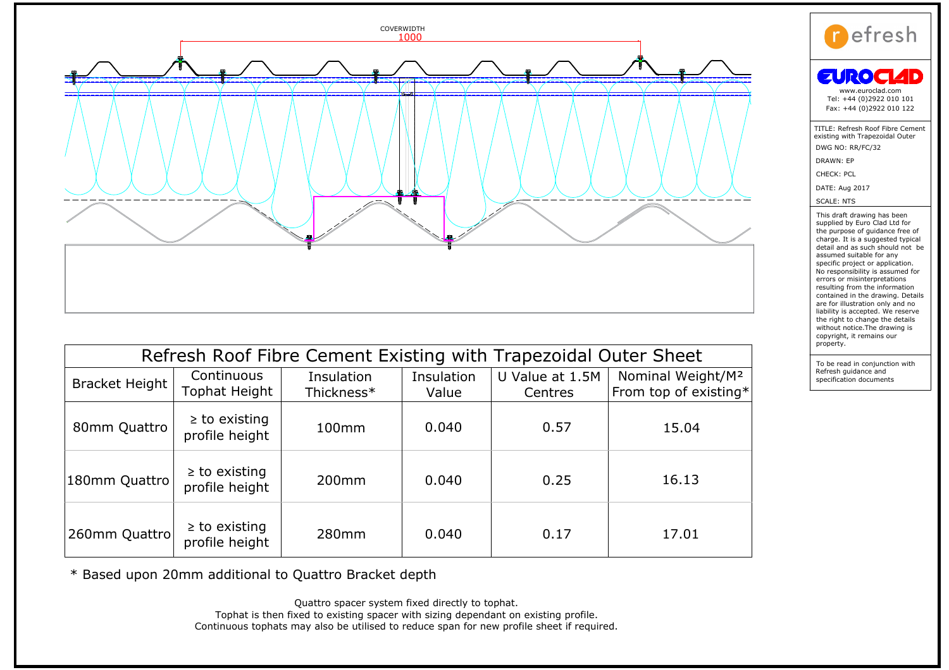

| Refresh Roof Fibre Cement Existing with Trapezoidal Outer Sheet |                                      |                          |                     |                            |                                                        |
|-----------------------------------------------------------------|--------------------------------------|--------------------------|---------------------|----------------------------|--------------------------------------------------------|
| Bracket Height                                                  | Continuous<br>Tophat Height          | Insulation<br>Thickness* | Insulation<br>Value | U Value at 1.5M<br>Centres | Nominal Weight/M <sup>2</sup><br>From top of existing* |
| 80mm Quattro                                                    | $\geq$ to existing<br>profile height | 100 <sub>mm</sub>        | 0.040               | 0.57                       | 15.04                                                  |
| 180mm Quattro                                                   | $\geq$ to existing<br>profile height | 200 <sub>mm</sub>        | 0.040               | 0.25                       | 16.13                                                  |
| 260mm Quattro                                                   | $\geq$ to existing<br>profile height | 280mm                    | 0.040               | 0.17                       | 17.01                                                  |

\* Based upon 20mm additional to Quattro Bracket depth<br>Quattro spacer system fixed directly to tophat.

Tophat is then fixed to existing spacer with sizing dependant on existing profile.<br>Continuous tophats may also be utilised to reduce span for new profile sheet if required.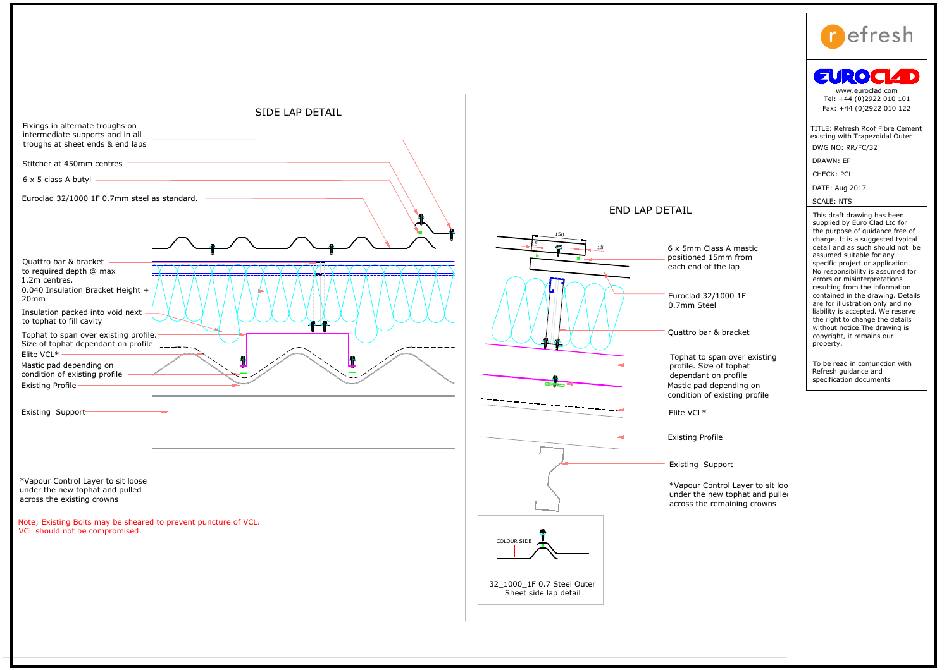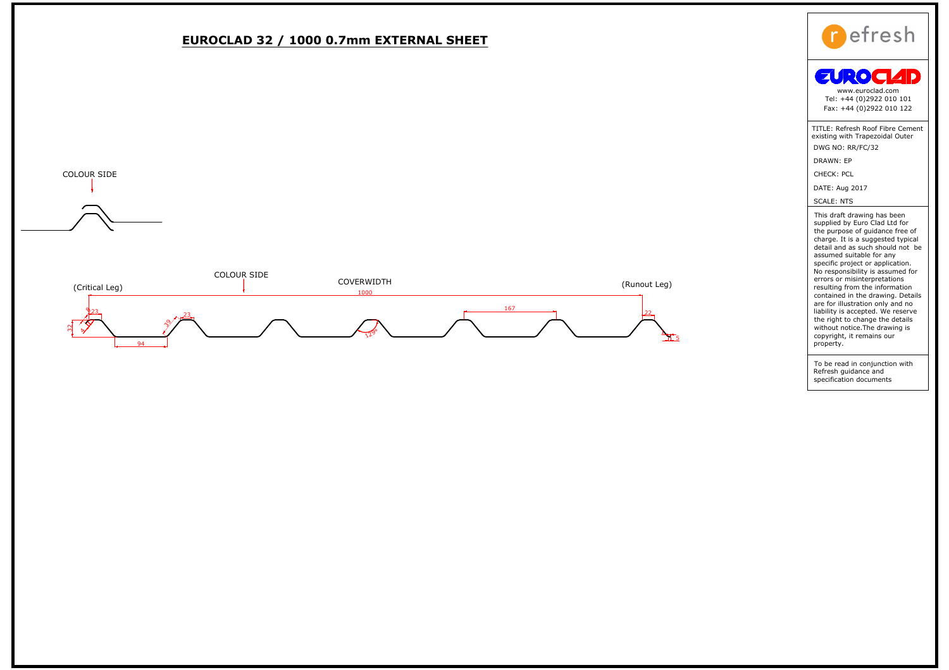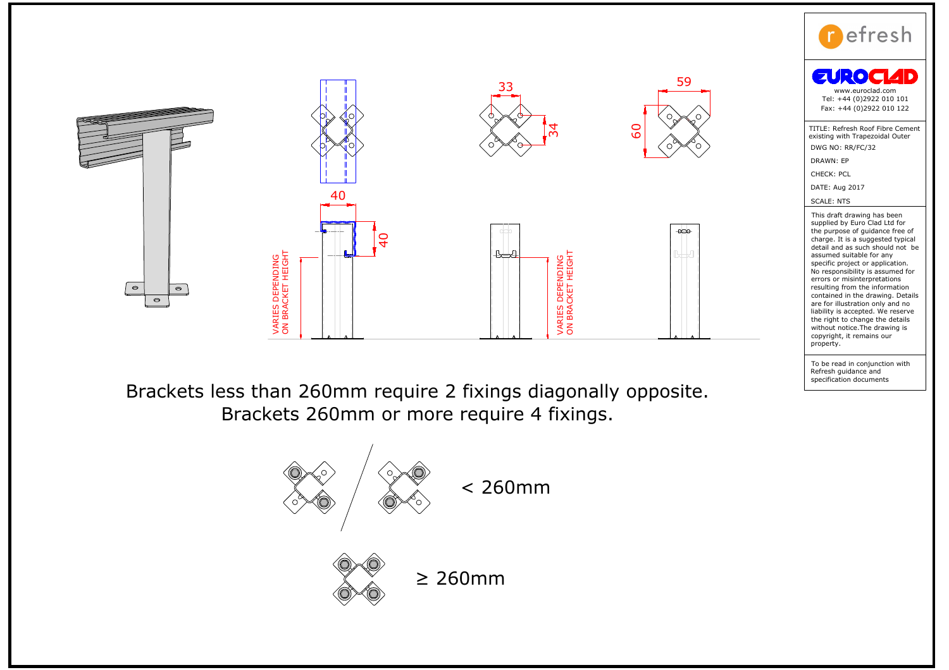

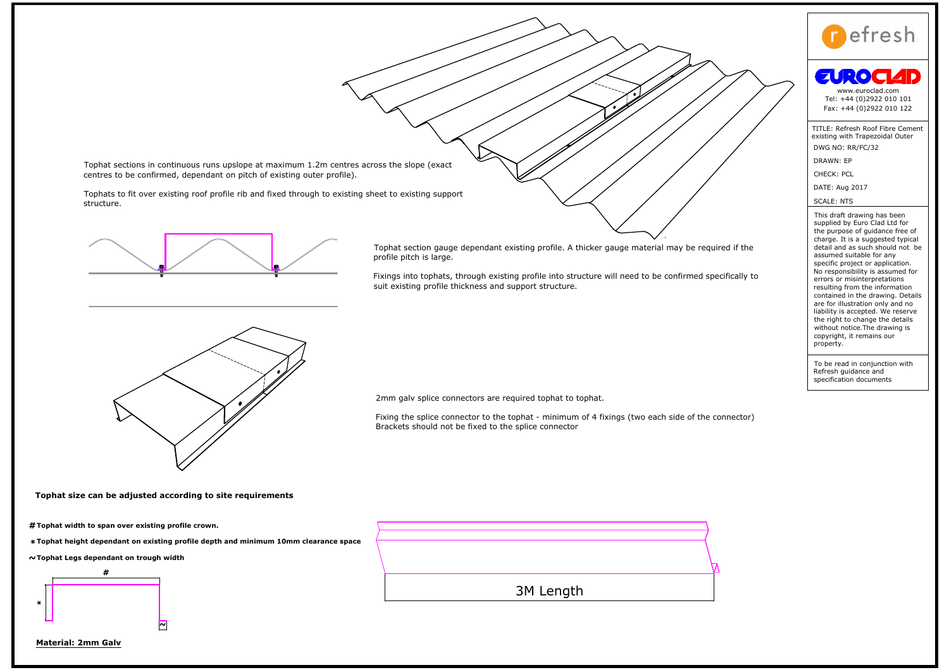